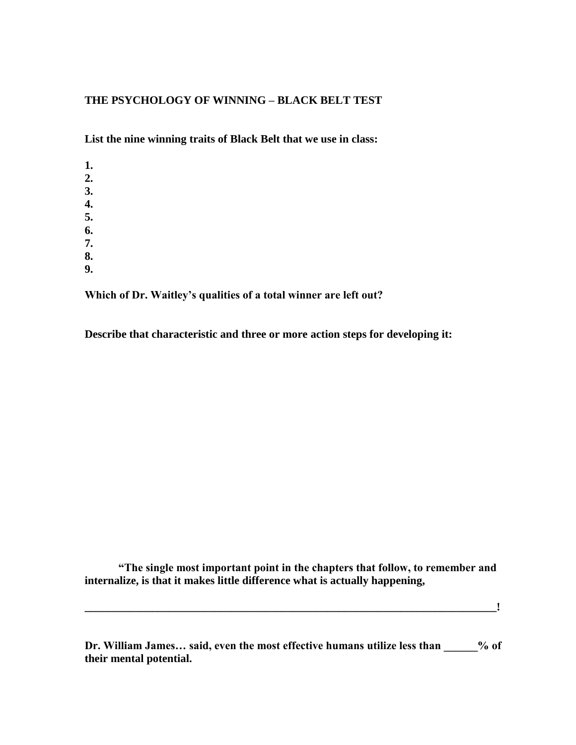## **THE PSYCHOLOGY OF WINNING – BLACK BELT TEST**

**List the nine winning traits of Black Belt that we use in class:**

**1. 2. 3. 4. 5. 6. 7. 8. 9.**

**Which of Dr. Waitley's qualities of a total winner are left out?**

**Describe that characteristic and three or more action steps for developing it:**

**"The single most important point in the chapters that follow, to remember and internalize, is that it makes little difference what is actually happening,**

**\_\_\_\_\_\_\_\_\_\_\_\_\_\_\_\_\_\_\_\_\_\_\_\_\_\_\_\_\_\_\_\_\_\_\_\_\_\_\_\_\_\_\_\_\_\_\_\_\_\_\_\_\_\_\_\_\_\_\_\_\_\_\_\_\_\_\_\_\_\_\_\_\_!**

**Dr. William James… said, even the most effective humans utilize less than \_\_\_\_\_\_% of their mental potential.**